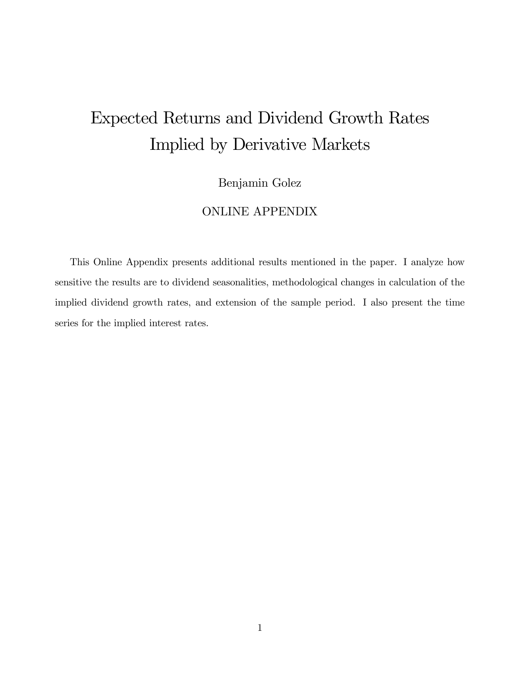# Expected Returns and Dividend Growth Rates Implied by Derivative Markets

# Benjamin Golez

# ONLINE APPENDIX

This Online Appendix presents additional results mentioned in the paper. I analyze how sensitive the results are to dividend seasonalities, methodological changes in calculation of the implied dividend growth rates, and extension of the sample period. I also present the time series for the implied interest rates.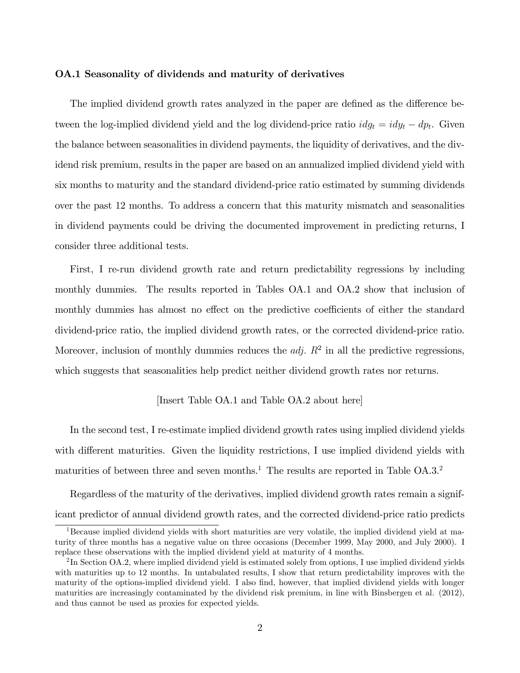# OA.1 Seasonality of dividends and maturity of derivatives

The implied dividend growth rates analyzed in the paper are defined as the difference between the log-implied dividend yield and the log dividend-price ratio  $idg_t = idy_t - dp_t$ . Given the balance between seasonalities in dividend payments, the liquidity of derivatives, and the dividend risk premium, results in the paper are based on an annualized implied dividend yield with six months to maturity and the standard dividend-price ratio estimated by summing dividends over the past 12 months. To address a concern that this maturity mismatch and seasonalities in dividend payments could be driving the documented improvement in predicting returns, I consider three additional tests.

First, I re-run dividend growth rate and return predictability regressions by including monthly dummies. The results reported in Tables OA.1 and OA.2 show that inclusion of monthly dummies has almost no effect on the predictive coefficients of either the standard dividend-price ratio, the implied dividend growth rates, or the corrected dividend-price ratio. Moreover, inclusion of monthly dummies reduces the  $adj$ .  $R^2$  in all the predictive regressions, which suggests that seasonalities help predict neither dividend growth rates nor returns.

## [Insert Table OA.1 and Table OA.2 about here]

In the second test, I re-estimate implied dividend growth rates using implied dividend yields with different maturities. Given the liquidity restrictions, I use implied dividend yields with maturities of between three and seven months.<sup>1</sup> The results are reported in Table  $OA.3.^2$ 

Regardless of the maturity of the derivatives, implied dividend growth rates remain a significant predictor of annual dividend growth rates, and the corrected dividend-price ratio predicts

<sup>&</sup>lt;sup>1</sup>Because implied dividend yields with short maturities are very volatile, the implied dividend yield at maturity of three months has a negative value on three occasions (December 1999, May 2000, and July 2000). I replace these observations with the implied dividend yield at maturity of 4 months.

 ${}^{2}\text{In Section OA.2}$ , where implied dividend yield is estimated solely from options, I use implied dividend yields with maturities up to 12 months. In untabulated results, I show that return predictability improves with the maturity of the options-implied dividend yield. I also find, however, that implied dividend yields with longer maturities are increasingly contaminated by the dividend risk premium, in line with Binsbergen et al. (2012), and thus cannot be used as proxies for expected yields.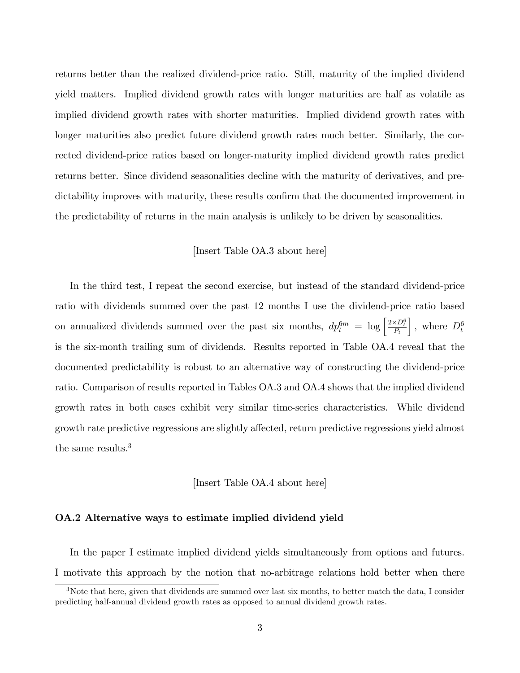returns better than the realized dividend-price ratio. Still, maturity of the implied dividend yield matters. Implied dividend growth rates with longer maturities are half as volatile as implied dividend growth rates with shorter maturities. Implied dividend growth rates with longer maturities also predict future dividend growth rates much better. Similarly, the corrected dividend-price ratios based on longer-maturity implied dividend growth rates predict returns better. Since dividend seasonalities decline with the maturity of derivatives, and predictability improves with maturity, these results confirm that the documented improvement in the predictability of returns in the main analysis is unlikely to be driven by seasonalities.

# [Insert Table OA.3 about here]

In the third test, I repeat the second exercise, but instead of the standard dividend-price ratio with dividends summed over the past 12 months I use the dividend-price ratio based on annualized dividends summed over the past six months,  $dp_t^{6m} = \log \left[\frac{2 \times D_t^6}{P_t}\right]$  $\Big]$ , where  $D_t^6$ is the six-month trailing sum of dividends. Results reported in Table OA.4 reveal that the documented predictability is robust to an alternative way of constructing the dividend-price ratio. Comparison of results reported in Tables OA.3 and OA.4 shows that the implied dividend growth rates in both cases exhibit very similar time-series characteristics. While dividend growth rate predictive regressions are slightly affected, return predictive regressions yield almost the same results.<sup>3</sup>

# [Insert Table OA.4 about here]

# OA.2 Alternative ways to estimate implied dividend yield

In the paper I estimate implied dividend yields simultaneously from options and futures. I motivate this approach by the notion that no-arbitrage relations hold better when there

<sup>&</sup>lt;sup>3</sup>Note that here, given that dividends are summed over last six months, to better match the data, I consider predicting half-annual dividend growth rates as opposed to annual dividend growth rates.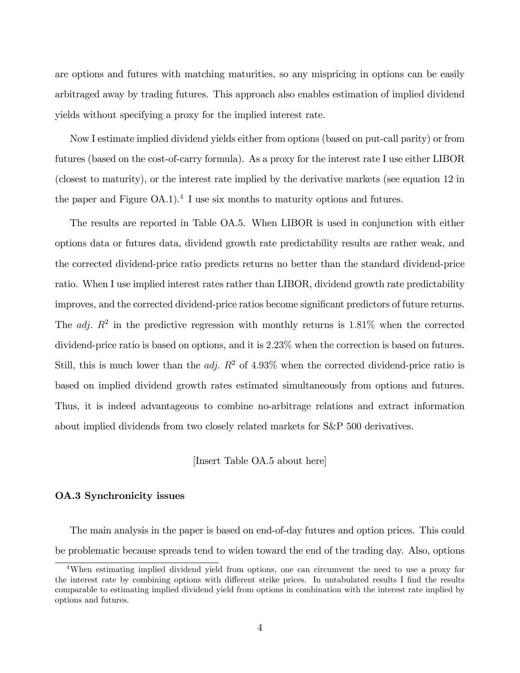are options and futures with matching maturities, so any mispricing in options can be easily arbitraged away by trading futures. This approach also enables estimation of implied dividend yields without specifying a proxy for the implied interest rate.

Now I estimate implied dividend yields either from options (based on put-call parity) or from futures (based on the cost-of-carry formula). As a proxy for the interest rate I use either LIBOR (closest to maturity), or the interest rate implied by the derivative markets (see equation 12 in the paper and Figure  $OA.1$ <sup>4</sup>.<sup>4</sup> I use six months to maturity options and futures.

The results are reported in Table OA.5. When LIBOR is used in conjunction with either options data or futures data, dividend growth rate predictability results are rather weak, and the corrected dividend-price ratio predicts returns no better than the standard dividend-price ratio. When I use implied interest rates rather than LIBOR, dividend growth rate predictability improves, and the corrected dividend-price ratios become significant predictors of future returns. The *adj.*  $R^2$  in the predictive regression with monthly returns is 1.81% when the corrected dividend-price ratio is based on options, and it is 2:23% when the correction is based on futures. Still, this is much lower than the *adj.*  $R^2$  of 4.93% when the corrected dividend-price ratio is based on implied dividend growth rates estimated simultaneously from options and futures. Thus, it is indeed advantageous to combine no-arbitrage relations and extract information about implied dividends from two closely related markets for S&P 500 derivatives.

[Insert Table OA.5 about here]

# OA.3 Synchronicity issues

The main analysis in the paper is based on end-of-day futures and option prices. This could be problematic because spreads tend to widen toward the end of the trading day. Also, options

<sup>4</sup>When estimating implied dividend yield from options, one can circumvent the need to use a proxy for the interest rate by combining options with different strike prices. In untabulated results I find the results comparable to estimating implied dividend yield from options in combination with the interest rate implied by options and futures.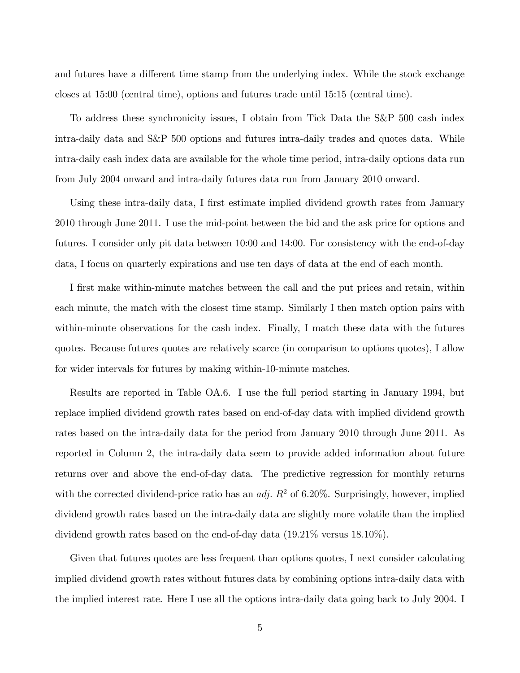and futures have a different time stamp from the underlying index. While the stock exchange closes at 15:00 (central time), options and futures trade until 15:15 (central time).

To address these synchronicity issues, I obtain from Tick Data the S&P 500 cash index intra-daily data and S&P 500 options and futures intra-daily trades and quotes data. While intra-daily cash index data are available for the whole time period, intra-daily options data run from July 2004 onward and intra-daily futures data run from January 2010 onward.

Using these intra-daily data, I first estimate implied dividend growth rates from January 2010 through June 2011. I use the mid-point between the bid and the ask price for options and futures. I consider only pit data between 10:00 and 14:00. For consistency with the end-of-day data, I focus on quarterly expirations and use ten days of data at the end of each month.

I first make within-minute matches between the call and the put prices and retain, within each minute, the match with the closest time stamp. Similarly I then match option pairs with within-minute observations for the cash index. Finally, I match these data with the futures quotes. Because futures quotes are relatively scarce (in comparison to options quotes), I allow for wider intervals for futures by making within-10-minute matches.

Results are reported in Table OA.6. I use the full period starting in January 1994, but replace implied dividend growth rates based on end-of-day data with implied dividend growth rates based on the intra-daily data for the period from January 2010 through June 2011. As reported in Column 2, the intra-daily data seem to provide added information about future returns over and above the end-of-day data. The predictive regression for monthly returns with the corrected dividend-price ratio has an *adj.*  $R^2$  of 6.20%. Surprisingly, however, implied dividend growth rates based on the intra-daily data are slightly more volatile than the implied dividend growth rates based on the end-of-day data (19:21% versus 18:10%).

Given that futures quotes are less frequent than options quotes, I next consider calculating implied dividend growth rates without futures data by combining options intra-daily data with the implied interest rate. Here I use all the options intra-daily data going back to July 2004. I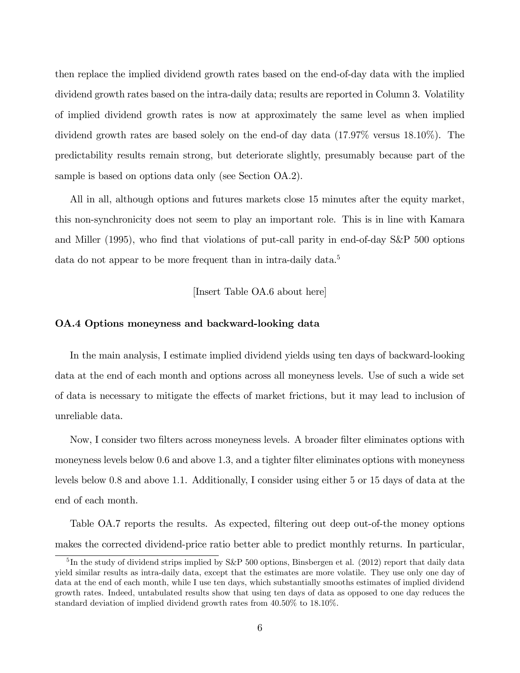then replace the implied dividend growth rates based on the end-of-day data with the implied dividend growth rates based on the intra-daily data; results are reported in Column 3. Volatility of implied dividend growth rates is now at approximately the same level as when implied dividend growth rates are based solely on the end-of day data (17:97% versus 18:10%). The predictability results remain strong, but deteriorate slightly, presumably because part of the sample is based on options data only (see Section OA.2).

All in all, although options and futures markets close 15 minutes after the equity market, this non-synchronicity does not seem to play an important role. This is in line with Kamara and Miller (1995), who find that violations of put-call parity in end-of-day S&P 500 options data do not appear to be more frequent than in intra-daily data.<sup>5</sup>

[Insert Table OA.6 about here]

# OA.4 Options moneyness and backward-looking data

In the main analysis, I estimate implied dividend yields using ten days of backward-looking data at the end of each month and options across all moneyness levels. Use of such a wide set of data is necessary to mitigate the effects of market frictions, but it may lead to inclusion of unreliable data.

Now, I consider two Ölters across moneyness levels. A broader Ölter eliminates options with moneyness levels below 0.6 and above 1.3, and a tighter filter eliminates options with moneyness levels below 0:8 and above 1:1. Additionally, I consider using either 5 or 15 days of data at the end of each month.

Table OA.7 reports the results. As expected, filtering out deep out-of-the money options makes the corrected dividend-price ratio better able to predict monthly returns. In particular,

<sup>&</sup>lt;sup>5</sup>In the study of dividend strips implied by S&P 500 options, Binsbergen et al. (2012) report that daily data yield similar results as intra-daily data, except that the estimates are more volatile. They use only one day of data at the end of each month, while I use ten days, which substantially smooths estimates of implied dividend growth rates. Indeed, untabulated results show that using ten days of data as opposed to one day reduces the standard deviation of implied dividend growth rates from 40:50% to 18:10%.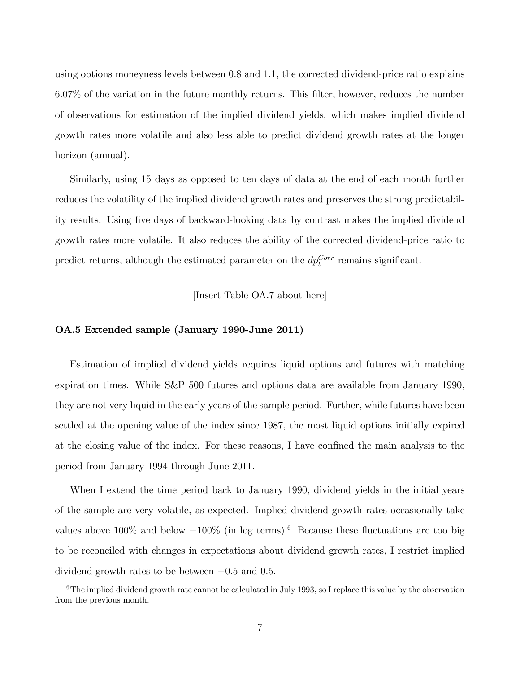using options moneyness levels between 0:8 and 1:1, the corrected dividend-price ratio explains 6:07% of the variation in the future monthly returns. This Ölter, however, reduces the number of observations for estimation of the implied dividend yields, which makes implied dividend growth rates more volatile and also less able to predict dividend growth rates at the longer horizon (annual).

Similarly, using 15 days as opposed to ten days of data at the end of each month further reduces the volatility of the implied dividend growth rates and preserves the strong predictability results. Using Öve days of backward-looking data by contrast makes the implied dividend growth rates more volatile. It also reduces the ability of the corrected dividend-price ratio to predict returns, although the estimated parameter on the  $dp_t^{Corr}$  remains significant.

[Insert Table OA.7 about here]

# OA.5 Extended sample (January 1990-June 2011)

Estimation of implied dividend yields requires liquid options and futures with matching expiration times. While S&P 500 futures and options data are available from January 1990, they are not very liquid in the early years of the sample period. Further, while futures have been settled at the opening value of the index since 1987, the most liquid options initially expired at the closing value of the index. For these reasons, I have confined the main analysis to the period from January 1994 through June 2011.

When I extend the time period back to January 1990, dividend yields in the initial years of the sample are very volatile, as expected. Implied dividend growth rates occasionally take values above 100\% and below  $-100\%$  (in log terms).<sup>6</sup> Because these fluctuations are too big to be reconciled with changes in expectations about dividend growth rates, I restrict implied dividend growth rates to be between  $-0.5$  and 0.5.

 $6$ The implied dividend growth rate cannot be calculated in July 1993, so I replace this value by the observation from the previous month.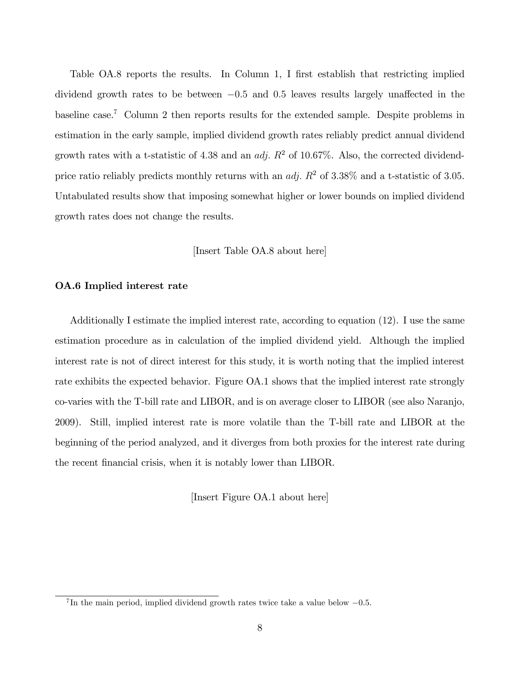Table OA.8 reports the results. In Column 1, I first establish that restricting implied dividend growth rates to be between  $-0.5$  and 0.5 leaves results largely unaffected in the baseline case.<sup>7</sup> Column 2 then reports results for the extended sample. Despite problems in estimation in the early sample, implied dividend growth rates reliably predict annual dividend growth rates with a t-statistic of 4.38 and an *adj.*  $R^2$  of 10.67%. Also, the corrected dividendprice ratio reliably predicts monthly returns with an *adj.*  $R^2$  of 3.38% and a t-statistic of 3.05. Untabulated results show that imposing somewhat higher or lower bounds on implied dividend growth rates does not change the results.

[Insert Table OA.8 about here]

# OA.6 Implied interest rate

Additionally I estimate the implied interest rate, according to equation (12). I use the same estimation procedure as in calculation of the implied dividend yield. Although the implied interest rate is not of direct interest for this study, it is worth noting that the implied interest rate exhibits the expected behavior. Figure OA.1 shows that the implied interest rate strongly co-varies with the T-bill rate and LIBOR, and is on average closer to LIBOR (see also Naranjo, 2009). Still, implied interest rate is more volatile than the T-bill rate and LIBOR at the beginning of the period analyzed, and it diverges from both proxies for the interest rate during the recent financial crisis, when it is notably lower than LIBOR.

[Insert Figure OA.1 about here]

<sup>&</sup>lt;sup>7</sup>In the main period, implied dividend growth rates twice take a value below  $-0.5$ .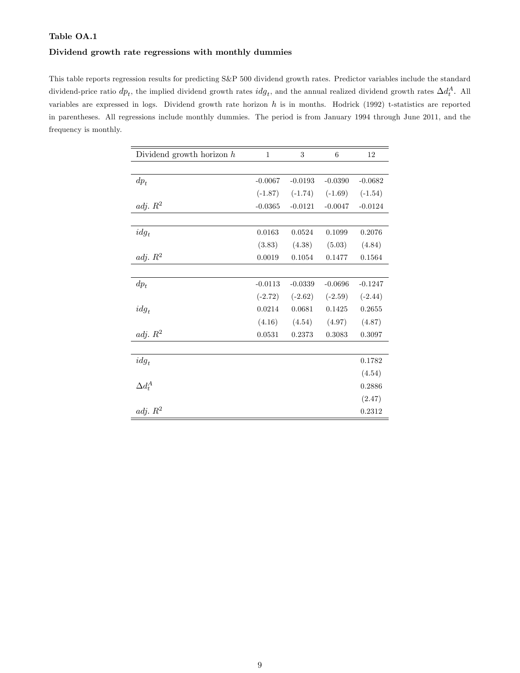## Dividend growth rate regressions with monthly dummies

This table reports regression results for predicting S&P 500 dividend growth rates. Predictor variables include the standard dividend-price ratio  $dp_t$ , the implied dividend growth rates  $idg_t$ , and the annual realized dividend growth rates  $\Delta d_t^A$ . All variables are expressed in logs. Dividend growth rate horizon  $h$  is in months. Hodrick (1992) t-statistics are reported in parentheses. All regressions include monthly dummies. The period is from January 1994 through June 2011, and the frequency is monthly.

| Dividend growth horizon $h$ | $\mathbf{1}$ | 3         | 6         | 12        |
|-----------------------------|--------------|-----------|-----------|-----------|
|                             |              |           |           |           |
| $dp_t$                      | $-0.0067$    | $-0.0193$ | $-0.0390$ | $-0.0682$ |
|                             | $(-1.87)$    | $(-1.74)$ | $(-1.69)$ | $(-1.54)$ |
| adj. $R^2$                  | $-0.0365$    | $-0.0121$ | $-0.0047$ | $-0.0124$ |
|                             |              |           |           |           |
| $idg_t$                     | 0.0163       | 0.0524    | 0.1099    | 0.2076    |
|                             | (3.83)       | (4.38)    | (5.03)    | (4.84)    |
| adj. $R^2$                  | 0.0019       | 0.1054    | 0.1477    | 0.1564    |
|                             |              |           |           |           |
| $dp_t$                      | $-0.0113$    | $-0.0339$ | $-0.0696$ | $-0.1247$ |
|                             | $(-2.72)$    | $(-2.62)$ | $(-2.59)$ | $(-2.44)$ |
| $idg_t$                     | 0.0214       | 0.0681    | 0.1425    | 0.2655    |
|                             | (4.16)       | (4.54)    | (4.97)    | (4.87)    |
| adj. R <sup>2</sup>         | 0.0531       | 0.2373    | 0.3083    | 0.3097    |
|                             |              |           |           |           |
| $idg_t$                     |              |           |           | 0.1782    |
|                             |              |           |           | (4.54)    |
| $\Delta d_t^A$              |              |           |           | 0.2886    |
|                             |              |           |           | (2.47)    |
| adj. $R^2$                  |              |           |           | 0.2312    |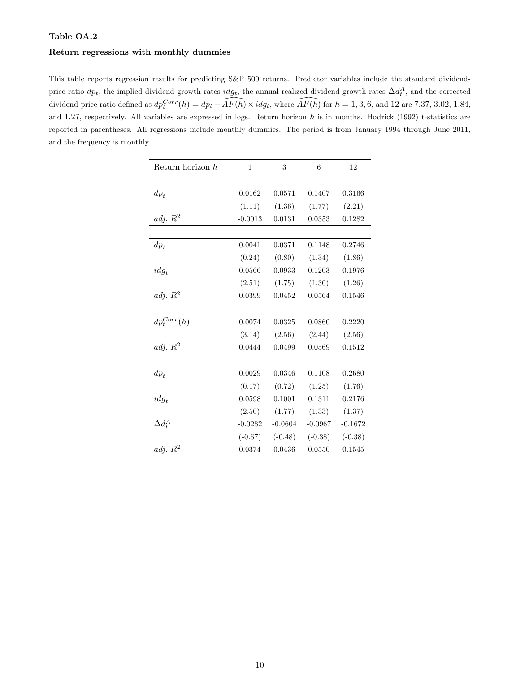## Return regressions with monthly dummies

This table reports regression results for predicting S&P 500 returns. Predictor variables include the standard dividendprice ratio  $dp_t$ , the implied dividend growth rates  $idg_t$ , the annual realized dividend growth rates  $\Delta d_t^A$ , and the corrected dividend-price ratio defined as  $dp_t^{Corr}(h) = dp_t + \overline{AF(h)} \times idg_t$ , where  $\overline{AF(h)}$  for  $h = 1, 3, 6$ , and 12 are 7.37, 3.02, 1.84, and 1.27, respectively. All variables are expressed in logs. Return horizon  $h$  is in months. Hodrick (1992) t-statistics are reported in parentheses. All regressions include monthly dummies. The period is from January 1994 through June 2011, and the frequency is monthly.

| Return horizon $h$ | $\mathbf 1$ | 3         | 6         | 12        |
|--------------------|-------------|-----------|-----------|-----------|
|                    |             |           |           |           |
| $dp_t$             | 0.0162      | 0.0571    | 0.1407    | 0.3166    |
|                    | (1.11)      | (1.36)    | (1.77)    | (2.21)    |
| adj. $R^2$         | $-0.0013$   | 0.0131    | 0.0353    | 0.1282    |
|                    |             |           |           |           |
| $dp_t$             | 0.0041      | 0.0371    | 0.1148    | 0.2746    |
|                    | (0.24)      | (0.80)    | (1.34)    | (1.86)    |
| $idg_t$            | 0.0566      | 0.0933    | 0.1203    | 0.1976    |
|                    | (2.51)      | (1.75)    | (1.30)    | (1.26)    |
| adj. $R^2$         | 0.0399      | 0.0452    | 0.0564    | 0.1546    |
|                    |             |           |           |           |
| $dp_t^{Corr}(h)$   | 0.0074      | 0.0325    | 0.0860    | 0.2220    |
|                    | (3.14)      | (2.56)    | (2.44)    | (2.56)    |
| adj. $R^2$         | 0.0444      | 0.0499    | 0.0569    | 0.1512    |
|                    |             |           |           |           |
| $dp_t$             | 0.0029      | 0.0346    | 0.1108    | 0.2680    |
|                    | (0.17)      | (0.72)    | (1.25)    | (1.76)    |
| $idg_t$            | 0.0598      | 0.1001    | 0.1311    | 0.2176    |
|                    | (2.50)      | (1.77)    | (1.33)    | (1.37)    |
| $\Delta d^A_t$     | $-0.0282$   | $-0.0604$ | $-0.0967$ | $-0.1672$ |
|                    | $(-0.67)$   | $(-0.48)$ | $(-0.38)$ | $(-0.38)$ |
| adj. $R^2$         | 0.0374      | 0.0436    | 0.0550    | 0.1545    |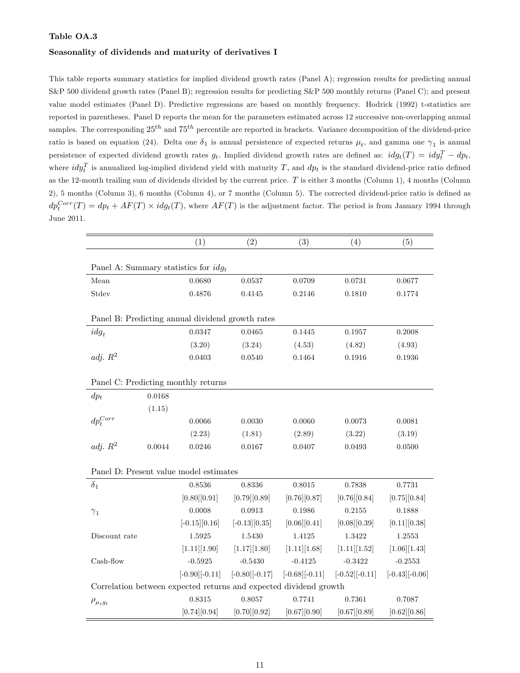#### Seasonality of dividends and maturity of derivatives I

This table reports summary statistics for implied dividend growth rates (Panel A); regression results for predicting annual S&P 500 dividend growth rates (Panel B); regression results for predicting S&P 500 monthly returns (Panel C); and present value model estimates (Panel D). Predictive regressions are based on monthly frequency. Hodrick (1992) t-statistics are reported in parentheses. Panel D reports the mean for the parameters estimated across 12 successive non-overlapping annual samples. The corresponding  $25^{th}$  and  $75^{th}$  percentile are reported in brackets. Variance decomposition of the dividend-price ratio is based on equation (24). Delta one  $\delta_1$  is annual persistence of expected returns  $\mu_t$ , and gamma one  $\gamma_1$  is annual persistence of expected dividend growth rates  $g_t$ . Implied dividend growth rates are defined as:  $idg_t(T) = idy_t^T - dp_t$ , where  $idy_t^T$  is annualized log-implied dividend yield with maturity T, and  $dp_t$  is the standard dividend-price ratio defined as the 12-month trailing sum of dividends divided by the current price.  $T$  is either 3 months (Column 1), 4 months (Column  $2)$ , 5 months (Column 3), 6 months (Column 4), or 7 months (Column 5). The corrected dividend-price ratio is defined as  $dp_t^{Corr}(T) = dp_t + AF(T) \times idg_t(T)$ , where  $AF(T)$  is the adjustment factor. The period is from January 1994 through June 2011.

|                    |        | (1)                                              | (2)                                                               | (3)                   | (4)               | (5)                   |
|--------------------|--------|--------------------------------------------------|-------------------------------------------------------------------|-----------------------|-------------------|-----------------------|
|                    |        |                                                  |                                                                   |                       |                   |                       |
|                    |        | Panel A: Summary statistics for $idg_t$          |                                                                   |                       |                   |                       |
| Mean               |        | 0.0680                                           | 0.0537                                                            | 0.0709                | 0.0731            | 0.0677                |
| Stdev              |        | 0.4876                                           | 0.4145                                                            | 0.2146                | 0.1810            | 0.1774                |
|                    |        |                                                  |                                                                   |                       |                   |                       |
|                    |        | Panel B: Predicting annual dividend growth rates |                                                                   |                       |                   |                       |
| $idg_t$            |        | 0.0347                                           | 0.0465                                                            | 0.1445                | 0.1957            | 0.2008                |
|                    |        | (3.20)                                           | (3.24)                                                            | (4.53)                | (4.82)            | (4.93)                |
| adj. $R^2$         |        | 0.0403                                           | 0.0540                                                            | 0.1464                | 0.1916            | 0.1936                |
|                    |        |                                                  |                                                                   |                       |                   |                       |
|                    |        | Panel C: Predicting monthly returns              |                                                                   |                       |                   |                       |
| $dp_t$             | 0.0168 |                                                  |                                                                   |                       |                   |                       |
|                    | (1.15) |                                                  |                                                                   |                       |                   |                       |
| $dp^{Corr}_t$      |        | 0.0066                                           | 0.0030                                                            | 0.0060                | 0.0073            | 0.0081                |
|                    |        | (2.23)                                           | (1.81)                                                            | (2.89)                | (3.22)            | (3.19)                |
| adj. $R^2$         | 0.0044 | 0.0246                                           | 0.0167                                                            | 0.0407                | 0.0493            | 0.0500                |
|                    |        |                                                  |                                                                   |                       |                   |                       |
|                    |        | Panel D: Present value model estimates           |                                                                   |                       |                   |                       |
| $\delta_1$         |        | 0.8536                                           | 0.8336                                                            | 0.8015                | 0.7838            | 0.7731                |
|                    |        | $[0.80]$ $[0.91]$                                | $[0.79]$ $[0.89]$                                                 | [0.76][0.87]          | [0.76][0.84]      | [0.75][0.84]          |
| $\gamma_1$         |        | 0.0008                                           | 0.0913                                                            | 0.1986                | 0.2155            | 0.1888                |
|                    |        | $[-0.15][0.16]$                                  | $[-0.13][0.35]$                                                   | [0.06][0.41]          | [0.08][0.39]      | [0.11][0.38]          |
| Discount rate      |        | 1.5925                                           | 1.5430                                                            | 1.4125                | 1.3422            | 1.2553                |
|                    |        | [1.11][1.90]                                     | [1.17][1.80]                                                      | [1.11][1.68]          | [1.11][1.52]      | [1.06][1.43]          |
| Cash-flow          |        | $-0.5925$                                        | $-0.5430$                                                         | $-0.4125$             | $-0.3422$         | $-0.2553$             |
|                    |        | $[-0.90]$ $[-0.11]$                              | $[-0.80]$ [ $-0.17$ ]                                             | $[-0.68]$ [ $-0.11$ ] | $[-0.52][-0.11]$  | $[-0.43]$ [ $-0.06$ ] |
|                    |        |                                                  | Correlation between expected returns and expected dividend growth |                       |                   |                       |
| $\rho_{\mu_t g_t}$ |        | 0.8315                                           | 0.8057                                                            | 0.7741                | 0.7361            | 0.7087                |
|                    |        | [0.74] [0.94]                                    | [0.70][0.92]                                                      | $[0.67]$ $[0.90]$     | $[0.67]$ $[0.89]$ | [0.62][0.86]          |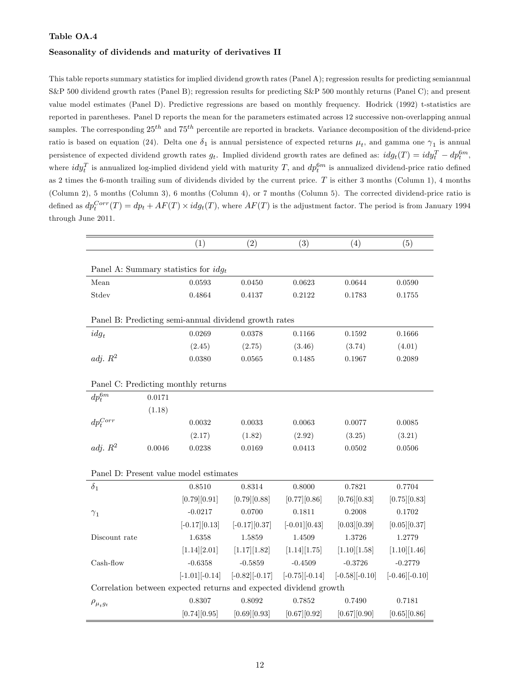#### Seasonality of dividends and maturity of derivatives II

This table reports summary statistics for implied dividend growth rates (Panel A); regression results for predicting semiannual S&P 500 dividend growth rates (Panel B); regression results for predicting S&P 500 monthly returns (Panel C); and present value model estimates (Panel D). Predictive regressions are based on monthly frequency. Hodrick (1992) t-statistics are reported in parentheses. Panel D reports the mean for the parameters estimated across 12 successive non-overlapping annual samples. The corresponding  $25^{th}$  and  $75^{th}$  percentile are reported in brackets. Variance decomposition of the dividend-price ratio is based on equation (24). Delta one  $\delta_1$  is annual persistence of expected returns  $\mu_t$ , and gamma one  $\gamma_1$  is annual persistence of expected dividend growth rates  $g_t$ . Implied dividend growth rates are defined as:  $idg_t(T) = idy_t^T - dp_t^{6m}$ , where  $idy_t^T$  is annualized log-implied dividend yield with maturity T, and  $dp_t^{6m}$  is annualized dividend-price ratio defined as 2 times the 6-month trailing sum of dividends divided by the current price.  $T$  is either 3 months (Column 1), 4 months (Column 2), 5 months (Column 3), 6 months (Column 4), or 7 months (Column 5). The corrected dividend-price ratio is defined as  $dp_t^{Corr}(T) = dp_t + AF(T) \times idg_t(T)$ , where  $AF(T)$  is the adjustment factor. The period is from January 1994 through June 2011.

|                                         |        | (1)                   | (2)                                                               | (3)                   | (4)                    | (5)                    |
|-----------------------------------------|--------|-----------------------|-------------------------------------------------------------------|-----------------------|------------------------|------------------------|
|                                         |        |                       |                                                                   |                       |                        |                        |
| Panel A: Summary statistics for $idg_t$ |        |                       |                                                                   |                       |                        |                        |
| Mean                                    |        | 0.0593                | 0.0450                                                            | 0.0623                | 0.0644                 | 0.0590                 |
| Stdev                                   |        | 0.4864                | 0.4137                                                            | 0.2122                | 0.1783                 | 0.1755                 |
|                                         |        |                       |                                                                   |                       |                        |                        |
|                                         |        |                       | Panel B: Predicting semi-annual dividend growth rates             |                       |                        |                        |
| $idg_t$                                 |        | 0.0269                | 0.0378                                                            | 0.1166                | 0.1592                 | 0.1666                 |
|                                         |        | (2.45)                | (2.75)                                                            | (3.46)                | (3.74)                 | (4.01)                 |
| adj. $R^2$                              |        | 0.0380                | 0.0565                                                            | 0.1485                | 0.1967                 | 0.2089                 |
|                                         |        |                       |                                                                   |                       |                        |                        |
| Panel C: Predicting monthly returns     |        |                       |                                                                   |                       |                        |                        |
| $dp_t^{6m}$                             | 0.0171 |                       |                                                                   |                       |                        |                        |
|                                         | (1.18) |                       |                                                                   |                       |                        |                        |
| $dp_t^{Corr}$                           |        | 0.0032                | 0.0033                                                            | 0.0063                | 0.0077                 | 0.0085                 |
|                                         |        | (2.17)                | (1.82)                                                            | (2.92)                | (3.25)                 | (3.21)                 |
| adj. $R^2$                              | 0.0046 | 0.0238                | 0.0169                                                            | 0.0413                | 0.0502                 | 0.0506                 |
|                                         |        |                       |                                                                   |                       |                        |                        |
| Panel D: Present value model estimates  |        |                       |                                                                   |                       |                        |                        |
| $\delta_1$                              |        | 0.8510                | 0.8314                                                            | 0.8000                | 0.7821                 | 0.7704                 |
|                                         |        | [0.79] [0.91]         | $[0.79]$ $[0.88]$                                                 | [0.77][0.86]          | [0.76][0.83]           | [0.75][0.83]           |
| $\gamma_1$                              |        | $-0.0217$             | 0.0700                                                            | 0.1811                | 0.2008                 | 0.1702                 |
|                                         |        | $[-0.17][0.13]$       | $[-0.17][0.37]$                                                   | $[-0.01][0.43]$       | [0.03][0.39]           | [0.05][0.37]           |
| Discount rate                           |        | 1.6358                | 1.5859                                                            | 1.4509                | 1.3726                 | 1.2779                 |
|                                         |        | [1.14][2.01]          | [1.17][1.82]                                                      | [1.14][1.75]          | [1.10][1.58]           | [1.10][1.46]           |
| Cash-flow                               |        | $-0.6358$             | $-0.5859$                                                         | $-0.4509$             | $-0.3726$              | $-0.2779$              |
|                                         |        | $[-1.01]$ [ $-0.14$ ] | $[-0.82] [-0.17]$                                                 | $[-0.75]$ [ $-0.14$ ] | $[-0.58]$ [ $-0.10]$ ] | $[-0.46]$ [ $-0.10]$ ] |
|                                         |        |                       | Correlation between expected returns and expected dividend growth |                       |                        |                        |
| $\rho_{\mu_t g_t}$                      |        | 0.8307                | 0.8092                                                            | 0.7852                | 0.7490                 | 0.7181                 |
|                                         |        | [0.74][0.95]          | $[0.69]$ $[0.93]$                                                 | $[0.67]$ $[0.92]$     | [0.67][0.90]           | [0.65][0.86]           |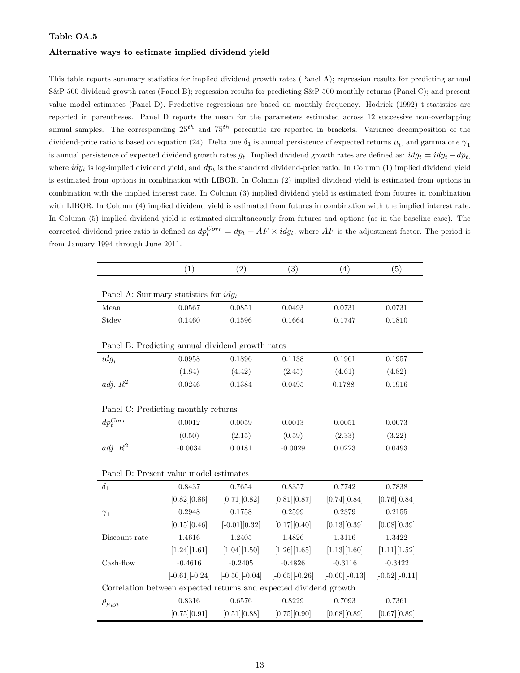#### Alternative ways to estimate implied dividend yield

This table reports summary statistics for implied dividend growth rates (Panel A); regression results for predicting annual S&P 500 dividend growth rates (Panel B); regression results for predicting S&P 500 monthly returns (Panel C); and present value model estimates (Panel D). Predictive regressions are based on monthly frequency. Hodrick (1992) t-statistics are reported in parentheses. Panel D reports the mean for the parameters estimated across 12 successive non-overlapping annual samples. The corresponding  $25^{th}$  and  $75^{th}$  percentile are reported in brackets. Variance decomposition of the dividend-price ratio is based on equation (24). Delta one  $\delta_1$  is annual persistence of expected returns  $\mu_t$ , and gamma one  $\gamma_1$ is annual persistence of expected dividend growth rates  $g_t$ . Implied dividend growth rates are defined as:  $idg_t = idy_t - dp_t$ , where  $idy_t$  is log-implied dividend yield, and  $dp_t$  is the standard dividend-price ratio. In Column (1) implied dividend yield is estimated from options in combination with LIBOR. In Column (2) implied dividend yield is estimated from options in combination with the implied interest rate. In Column (3) implied dividend yield is estimated from futures in combination with LIBOR. In Column (4) implied dividend yield is estimated from futures in combination with the implied interest rate. In Column (5) implied dividend yield is estimated simultaneously from futures and options (as in the baseline case). The corrected dividend-price ratio is defined as  $dp_t^{Corr} = dp_t + AF \times idg_t$ , where  $AF$  is the adjustment factor. The period is from January 1994 through June 2011.

|                                                                   | (1)                   | (2)                   | (3)                   | (4)                   | (5)              |
|-------------------------------------------------------------------|-----------------------|-----------------------|-----------------------|-----------------------|------------------|
|                                                                   |                       |                       |                       |                       |                  |
| Panel A: Summary statistics for $idq_t$                           |                       |                       |                       |                       |                  |
| Mean                                                              | 0.0567                | 0.0851                | 0.0493                | 0.0731                | 0.0731           |
| Stdev                                                             | 0.1460                | 0.1596                | 0.1664                | 0.1747                | 0.1810           |
|                                                                   |                       |                       |                       |                       |                  |
| Panel B: Predicting annual dividend growth rates                  |                       |                       |                       |                       |                  |
| $idg_t$                                                           | 0.0958                | 0.1896                | 0.1138                | 0.1961                | 0.1957           |
|                                                                   | (1.84)                | (4.42)                | (2.45)                | (4.61)                | (4.82)           |
| adj. $R^2$                                                        | 0.0246                | 0.1384                | 0.0495                | 0.1788                | 0.1916           |
|                                                                   |                       |                       |                       |                       |                  |
| Panel C: Predicting monthly returns                               |                       |                       |                       |                       |                  |
| $dp^{Corr}_t$                                                     | 0.0012                | 0.0059                | 0.0013                | 0.0051                | 0.0073           |
|                                                                   | (0.50)                | (2.15)                | (0.59)                | (2.33)                | (3.22)           |
| adj. $R^2$                                                        | $-0.0034$             | 0.0181                | $-0.0029$             | 0.0223                | 0.0493           |
|                                                                   |                       |                       |                       |                       |                  |
| Panel D: Present value model estimates                            |                       |                       |                       |                       |                  |
| $\delta_1$                                                        | 0.8437                | 0.7654                | 0.8357                | 0.7742                | 0.7838           |
|                                                                   | [0.82][0.86]          | [0.71][0.82]          | [0.81] [0.87]         | [0.74][0.84]          | [0.76][0.84]     |
| $\gamma_1$                                                        | 0.2948                | 0.1758                | 0.2599                | 0.2379                | 0.2155           |
|                                                                   | [0.15][0.46]          | $[-0.01][0.32]$       | [0.17][0.40]          | [0.13][0.39]          | [0.08][0.39]     |
| Discount rate                                                     | 1.4616                | 1.2405                | 1.4826                | 1.3116                | 1.3422           |
|                                                                   | [1.24][1.61]          | [1.04][1.50]          | [1.26][1.65]          | [1.13][1.60]          | [1.11][1.52]     |
| Cash-flow                                                         | $-0.4616$             | $-0.2405$             | $-0.4826$             | $-0.3116$             | $-0.3422$        |
|                                                                   | $[-0.61]$ [ $-0.24$ ] | $[-0.50]$ [ $-0.04$ ] | $[-0.65]$ [ $-0.26$ ] | $[-0.60]$ [ $-0.13$ ] | $[-0.52][-0.11]$ |
| Correlation between expected returns and expected dividend growth |                       |                       |                       |                       |                  |
| $\rho_{\mu_t g_t}$                                                | 0.8316                | 0.6576                | 0.8229                | 0.7093                | 0.7361           |
|                                                                   | [0.75][0.91]          | [0.51][0.88]          | [0.75][0.90]          | [0.68][0.89]          | [0.67] [0.89]    |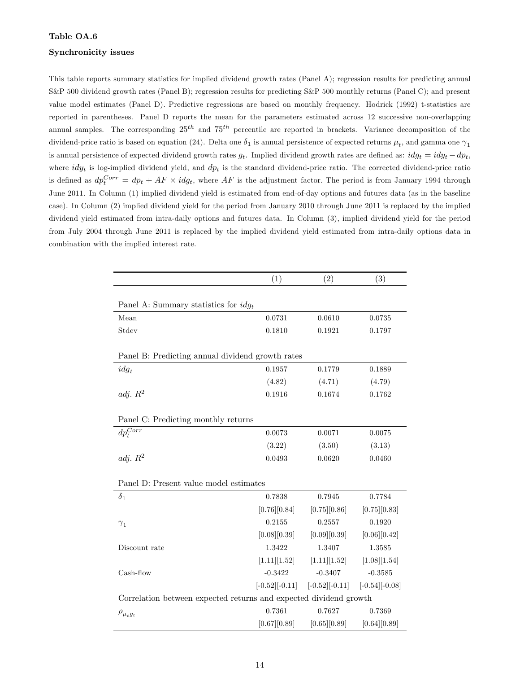#### Synchronicity issues

This table reports summary statistics for implied dividend growth rates (Panel A); regression results for predicting annual S&P 500 dividend growth rates (Panel B); regression results for predicting S&P 500 monthly returns (Panel C); and present value model estimates (Panel D). Predictive regressions are based on monthly frequency. Hodrick (1992) t-statistics are reported in parentheses. Panel D reports the mean for the parameters estimated across 12 successive non-overlapping annual samples. The corresponding  $25^{th}$  and  $75^{th}$  percentile are reported in brackets. Variance decomposition of the dividend-price ratio is based on equation (24). Delta one  $\delta_1$  is annual persistence of expected returns  $\mu_t$ , and gamma one  $\gamma_1$ is annual persistence of expected dividend growth rates  $g_t$ . Implied dividend growth rates are defined as:  $idg_t = idy_t - dp_t$ , where  $idy_t$  is log-implied dividend yield, and  $dp_t$  is the standard dividend-price ratio. The corrected dividend-price ratio is defined as  $dp_t^{Corr} = dp_t + AF \times idg_t$ , where  $AF$  is the adjustment factor. The period is from January 1994 through June 2011. In Column (1) implied dividend yield is estimated from end-of-day options and futures data (as in the baseline case). In Column (2) implied dividend yield for the period from January 2010 through June 2011 is replaced by the implied dividend yield estimated from intra-daily options and futures data. In Column (3), implied dividend yield for the period from July 2004 through June 2011 is replaced by the implied dividend yield estimated from intra-daily options data in combination with the implied interest rate.

|                                                                   | (1)               | (2)                                                | (3)           |
|-------------------------------------------------------------------|-------------------|----------------------------------------------------|---------------|
|                                                                   |                   |                                                    |               |
| Panel A: Summary statistics for $idg_t$                           |                   |                                                    |               |
| Mean                                                              | 0.0731            | 0.0610                                             | 0.0735        |
| Stdev                                                             | 0.1810            | 0.1921                                             | 0.1797        |
| Panel B: Predicting annual dividend growth rates                  |                   |                                                    |               |
| $idg_t$                                                           | 0.1957            | 0.1779                                             | 0.1889        |
|                                                                   | (4.82)            | (4.71)                                             | (4.79)        |
| adj. $R^2$                                                        | 0.1916            | 0.1674                                             | 0.1762        |
|                                                                   |                   |                                                    |               |
| Panel C: Predicting monthly returns                               |                   |                                                    |               |
| $dp_t^{Corr}$                                                     | 0.0073            | 0.0071                                             | 0.0075        |
|                                                                   | (3.22)            | (3.50)                                             | (3.13)        |
| adj. $R^2$                                                        | 0.0493            | 0.0620                                             | 0.0460        |
| Panel D: Present value model estimates                            |                   |                                                    |               |
| $\delta_1$                                                        | 0.7838            | 0.7945                                             | 0.7784        |
|                                                                   | [0.76][0.84]      | [0.75][0.86]                                       | [0.75][0.83]  |
| $\gamma_1$                                                        | 0.2155            | 0.2557                                             | 0.1920        |
|                                                                   | $[0.08]$ $[0.39]$ | $[0.09]$ $[0.39]$                                  | [0.06][0.42]  |
| Discount rate                                                     | 1.3422            | 1.3407                                             | 1.3585        |
|                                                                   | [1.11][1.52]      | [1.11][1.52]                                       | [1.08][1.54]  |
| Cash-flow                                                         | $-0.3422$         | $-0.3407$                                          | $-0.3585$     |
|                                                                   |                   | $[-0.52][-0.11]$ $[-0.52][-0.11]$ $[-0.54][-0.08]$ |               |
| Correlation between expected returns and expected dividend growth |                   |                                                    |               |
| $\rho_{\mu_t g_t}$                                                | 0.7361            | 0.7627                                             | 0.7369        |
|                                                                   | [0.67][0.89]      | [0.65][0.89]                                       | [0.64] [0.89] |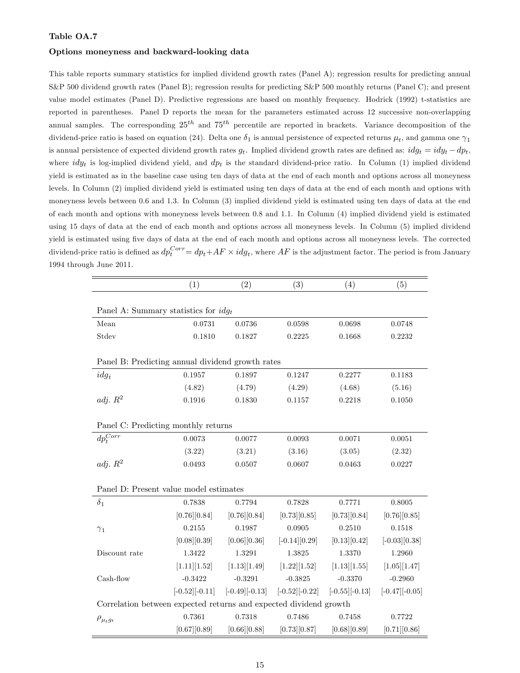#### Options moneyness and backward-looking data

This table reports summary statistics for implied dividend growth rates (Panel A); regression results for predicting annual S&P 500 dividend growth rates (Panel B); regression results for predicting S&P 500 monthly returns (Panel C); and present value model estimates (Panel D). Predictive regressions are based on monthly frequency. Hodrick (1992) t-statistics are reported in parentheses. Panel D reports the mean for the parameters estimated across 12 successive non-overlapping annual samples. The corresponding  $25^{th}$  and  $75^{th}$  percentile are reported in brackets. Variance decomposition of the dividend-price ratio is based on equation (24). Delta one  $\delta_1$  is annual persistence of expected returns  $\mu_t$ , and gamma one  $\gamma_1$ is annual persistence of expected dividend growth rates  $g_t$ . Implied dividend growth rates are defined as:  $idg_t = idy_t - dp_t$ , where  $idy_t$  is log-implied dividend yield, and  $dp_t$  is the standard dividend-price ratio. In Column (1) implied dividend yield is estimated as in the baseline case using ten days of data at the end of each month and options across all moneyness levels. In Column (2) implied dividend yield is estimated using ten days of data at the end of each month and options with moneyness levels between 0.6 and 1.3. In Column (3) implied dividend yield is estimated using ten days of data at the end of each month and options with moneyness levels between 0.8 and 1.1. In Column (4) implied dividend yield is estimated using 15 days of data at the end of each month and options across all moneyness levels. In Column (5) implied dividend yield is estimated using Öve days of data at the end of each month and options across all moneyness levels. The corrected dividend-price ratio is defined as  $dp_t^{Corr} = dp_t + AF \times idg_t$ , where  $AF$  is the adjustment factor. The period is from January 1994 through June 2011.

|                                                                   | (1)               | (2)               | (3)              | (4)                   | (5)                   |
|-------------------------------------------------------------------|-------------------|-------------------|------------------|-----------------------|-----------------------|
|                                                                   |                   |                   |                  |                       |                       |
| Panel A: Summary statistics for $idg_t$                           |                   |                   |                  |                       |                       |
| Mean                                                              | 0.0731            | 0.0736            | 0.0598           | 0.0698                | 0.0748                |
| Stdev                                                             | 0.1810            | 0.1827            | 0.2225           | 0.1668                | 0.2232                |
|                                                                   |                   |                   |                  |                       |                       |
| Panel B: Predicting annual dividend growth rates                  |                   |                   |                  |                       |                       |
| $idg_t$                                                           | 0.1957            | 0.1897            | 0.1247           | 0.2277                | 0.1183                |
|                                                                   | (4.82)            | (4.79)            | (4.29)           | (4.68)                | (5.16)                |
| adj. $R^2$                                                        | 0.1916            | 0.1830            | 0.1157           | 0.2218                | 0.1050                |
|                                                                   |                   |                   |                  |                       |                       |
| Panel C: Predicting monthly returns                               |                   |                   |                  |                       |                       |
| $dp_t^{Corr}$                                                     | 0.0073            | 0.0077            | 0.0093           | 0.0071                | 0.0051                |
|                                                                   | (3.22)            | (3.21)            | (3.16)           | (3.05)                | (2.32)                |
| adj. $R^2$                                                        | 0.0493            | 0.0507            | 0.0607           | 0.0463                | 0.0227                |
|                                                                   |                   |                   |                  |                       |                       |
| Panel D: Present value model estimates                            |                   |                   |                  |                       |                       |
| $\delta_1$                                                        | 0.7838            | 0.7794            | 0.7828           | 0.7771                | 0.8005                |
|                                                                   | [0.76][0.84]      | [0.76][0.84]      | [0.73][0.85]     | [0.73][0.84]          | [0.76][0.85]          |
| $\gamma_1$                                                        | 0.2155            | 0.1987            | 0.0905           | 0.2510                | 0.1518                |
|                                                                   | [0.08][0.39]      | [0.06][0.36]      | $[-0.14][0.29]$  | [0.13][0.42]          | $[-0.03][0.38]$       |
| Discount rate                                                     | 1.3422            | 1.3291            | 1.3825           | 1.3370                | 1.2960                |
|                                                                   | [1.11][1.52]      | [1.13][1.49]      | [1.22][1.52]     | [1.13][1.55]          | [1.05][1.47]          |
| Cash-flow                                                         | $-0.3422$         | $-0.3291$         | $-0.3825$        | $-0.3370$             | $-0.2960$             |
|                                                                   | $[-0.52][-0.11]$  | $[-0.49] [-0.13]$ | $[-0.52][-0.22]$ | $[-0.55]$ [ $-0.13$ ] | $[-0.47]$ [ $-0.05$ ] |
| Correlation between expected returns and expected dividend growth |                   |                   |                  |                       |                       |
| $\rho_{\mu_t g_t}$                                                | 0.7361            | 0.7318            | 0.7486           | 0.7458                | 0.7722                |
|                                                                   | $[0.67]$ $[0.89]$ | [0.66][0.88]      | [0.73][0.87]     | [0.68][0.89]          | [0.71][0.86]          |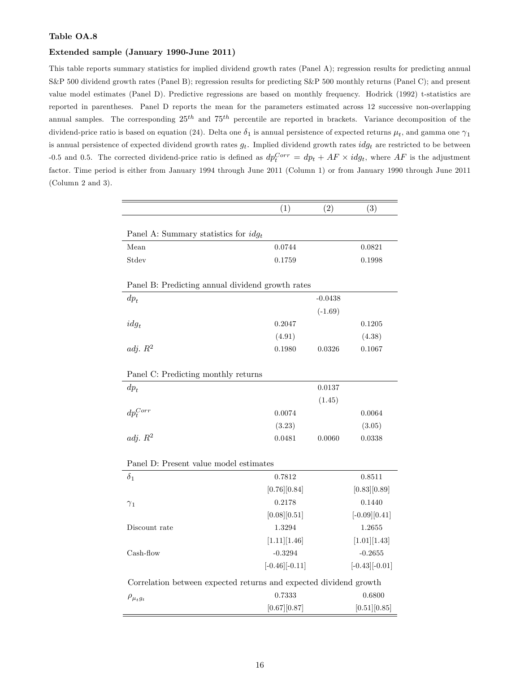#### Extended sample (January 1990-June 2011)

This table reports summary statistics for implied dividend growth rates (Panel A); regression results for predicting annual S&P 500 dividend growth rates (Panel B); regression results for predicting S&P 500 monthly returns (Panel C); and present value model estimates (Panel D). Predictive regressions are based on monthly frequency. Hodrick (1992) t-statistics are reported in parentheses. Panel D reports the mean for the parameters estimated across 12 successive non-overlapping annual samples. The corresponding  $25^{th}$  and  $75^{th}$  percentile are reported in brackets. Variance decomposition of the dividend-price ratio is based on equation (24). Delta one  $\delta_1$  is annual persistence of expected returns  $\mu_t$ , and gamma one  $\gamma_1$ is annual persistence of expected dividend growth rates  $g_t$ . Implied dividend growth rates  $idg_t$  are restricted to be between -0.5 and 0.5. The corrected dividend-price ratio is defined as  $dp_t^{Corr} = dp_t + AF \times idg_t$ , where  $AF$  is the adjustment factor. Time period is either from January 1994 through June 2011 (Column 1) or from January 1990 through June 2011 (Column 2 and 3).

|                                                                   | (1)                    | (2)       | (3)              |
|-------------------------------------------------------------------|------------------------|-----------|------------------|
|                                                                   |                        |           |                  |
| Panel A: Summary statistics for $idg_t$<br>Mean                   | 0.0744                 |           | 0.0821           |
| Stdev                                                             | 0.1759                 |           | 0.1998           |
|                                                                   |                        |           |                  |
| Panel B: Predicting annual dividend growth rates                  |                        |           |                  |
| $dp_t$                                                            |                        | $-0.0438$ |                  |
|                                                                   |                        | $(-1.69)$ |                  |
| $idg_t$                                                           | 0.2047                 |           | 0.1205           |
|                                                                   | (4.91)                 |           | (4.38)           |
| adj. $R^2$                                                        | 0.1980                 | 0.0326    | 0.1067           |
|                                                                   |                        |           |                  |
| Panel C: Predicting monthly returns                               |                        |           |                  |
| $dp_t$                                                            |                        | 0.0137    |                  |
|                                                                   |                        | (1.45)    |                  |
| $dp_t^{Corr}$                                                     | 0.0074                 |           | 0.0064           |
|                                                                   | (3.23)                 |           | (3.05)           |
| adj. $R^2$                                                        | 0.0481                 | 0.0060    | 0.0338           |
|                                                                   |                        |           |                  |
| Panel D: Present value model estimates                            |                        |           |                  |
| $\delta_1$                                                        | 0.7812                 |           | 0.8511           |
|                                                                   | [0.76][0.84]           |           | [0.83][0.89]     |
| $\gamma_1$                                                        | 0.2178                 |           | 0.1440           |
|                                                                   | [0.08][0.51]           |           | $[-0.09][0.41]$  |
| Discount rate                                                     | 1.3294                 |           | 1.2655           |
|                                                                   | [1.11][1.46]           |           | [1.01][1.43]     |
| Cash-flow                                                         | $-0.3294$              |           | $-0.2655$        |
|                                                                   | $[-0.46]$ [ $-0.11]$ ] |           | $[-0.43][-0.01]$ |
| Correlation between expected returns and expected dividend growth |                        |           |                  |
| $\rho_{\mu_t g_t}$                                                | 0.7333                 |           | 0.6800           |
|                                                                   | [0.67][0.87]           |           | [0.51][0.85]     |